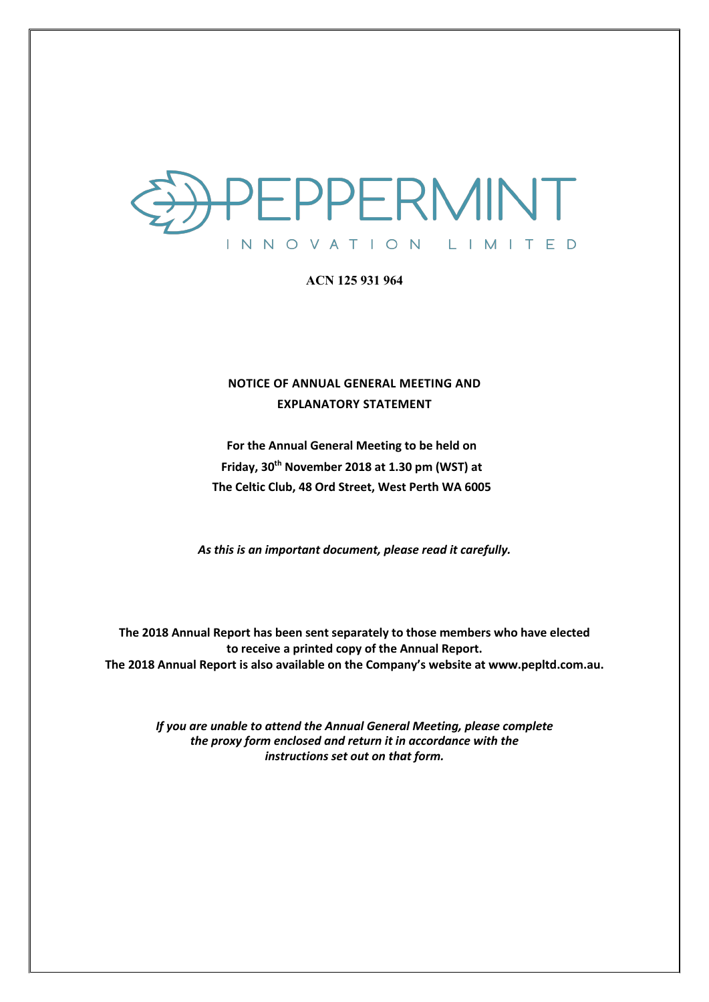

### **ACN 125 931 964**

## **NOTICE OF ANNUAL GENERAL MEETING AND EXPLANATORY STATEMENT**

**For the Annual General Meeting to be held on Friday, 30th November 2018 at 1.30 pm (WST) at The Celtic Club, 48 Ord Street, West Perth WA 6005**

*As this is an important document, please read it carefully.*

**The 2018 Annual Report has been sent separately to those members who have elected to receive a printed copy of the Annual Report. The 2018 Annual Report is also available on the Company's website at www.pepltd.com.au.**

> *If you are unable to attend the Annual General Meeting, please complete the proxy form enclosed and return it in accordance with the instructions set out on that form.*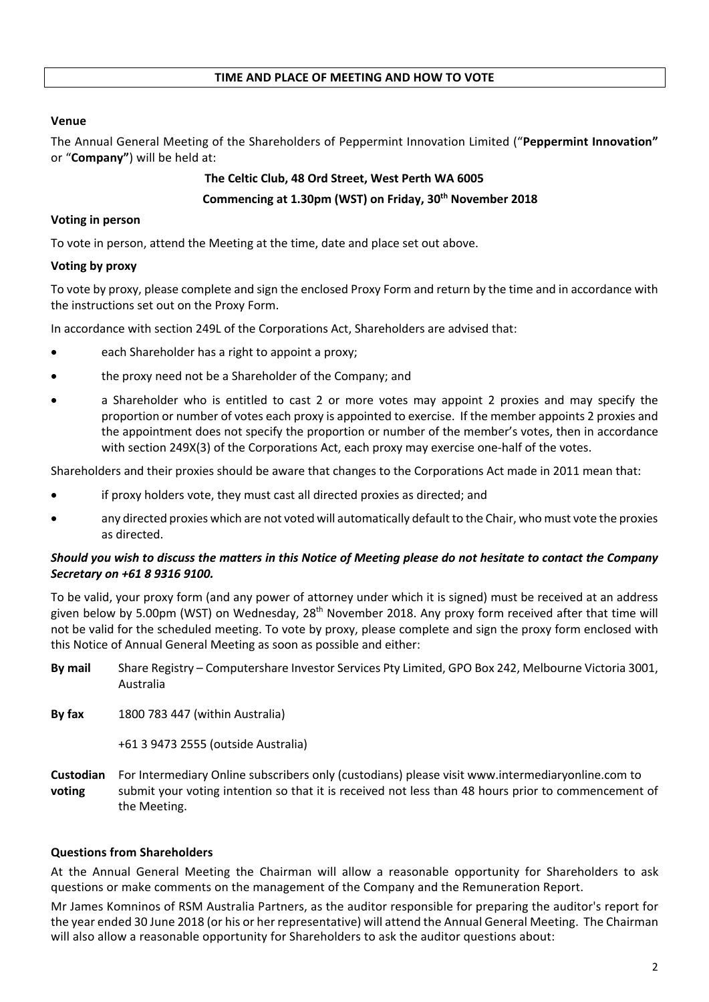## **Venue**

The Annual General Meeting of the Shareholders of Peppermint Innovation Limited ("**Peppermint Innovation"** or "**Company"**) will be held at:

# **The Celtic Club, 48 Ord Street, West Perth WA 6005**

## **Commencing at 1.30pm (WST) on Friday, 30th November 2018**

## **Voting in person**

To vote in person, attend the Meeting at the time, date and place set out above.

## **Voting by proxy**

To vote by proxy, please complete and sign the enclosed Proxy Form and return by the time and in accordance with the instructions set out on the Proxy Form.

In accordance with section 249L of the Corporations Act, Shareholders are advised that:

- each Shareholder has a right to appoint a proxy;
- the proxy need not be a Shareholder of the Company; and
- a Shareholder who is entitled to cast 2 or more votes may appoint 2 proxies and may specify the proportion or number of votes each proxy is appointed to exercise. If the member appoints 2 proxies and the appointment does not specify the proportion or number of the member's votes, then in accordance with section 249X(3) of the Corporations Act, each proxy may exercise one-half of the votes.

Shareholders and their proxies should be aware that changes to the Corporations Act made in 2011 mean that:

- if proxy holders vote, they must cast all directed proxies as directed; and
- any directed proxies which are not voted will automatically default to the Chair, who must vote the proxies as directed.

## *Should you wish to discuss the matters in this Notice of Meeting please do not hesitate to contact the Company Secretary on +61 8 9316 9100.*

To be valid, your proxy form (and any power of attorney under which it is signed) must be received at an address given below by 5.00pm (WST) on Wednesday, 28<sup>th</sup> November 2018. Any proxy form received after that time will not be valid for the scheduled meeting. To vote by proxy, please complete and sign the proxy form enclosed with this Notice of Annual General Meeting as soon as possible and either:

- **By mail** Share Registry Computershare Investor Services Pty Limited, GPO Box 242, Melbourne Victoria 3001, Australia
- **By fax** 1800 783 447 (within Australia)

+61 3 9473 2555 (outside Australia)

**Custodian** For Intermediary Online subscribers only (custodians) please visit www.intermediaryonline.com to **voting** submit your voting intention so that it is received not less than 48 hours prior to commencement of the Meeting.

## **Questions from Shareholders**

At the Annual General Meeting the Chairman will allow a reasonable opportunity for Shareholders to ask questions or make comments on the management of the Company and the Remuneration Report.

Mr James Komninos of RSM Australia Partners, as the auditor responsible for preparing the auditor's report for the year ended 30 June 2018 (or his or her representative) will attend the Annual General Meeting. The Chairman will also allow a reasonable opportunity for Shareholders to ask the auditor questions about: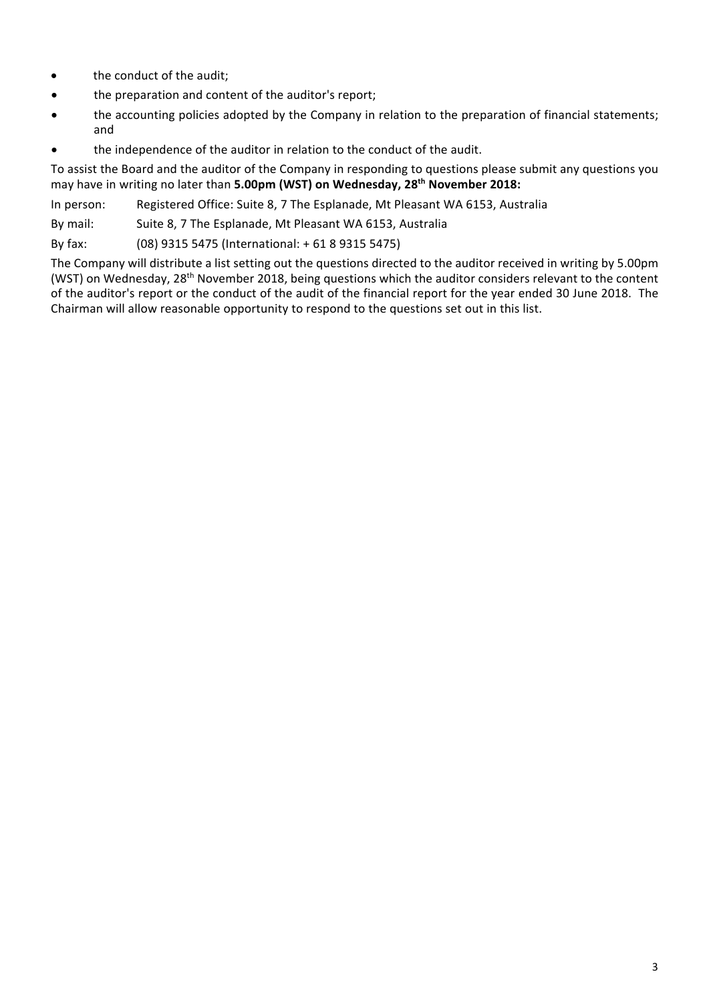- the conduct of the audit;
- the preparation and content of the auditor's report;
- the accounting policies adopted by the Company in relation to the preparation of financial statements; and
- the independence of the auditor in relation to the conduct of the audit.

To assist the Board and the auditor of the Company in responding to questions please submit any questions you may have in writing no later than **5.00pm (WST) on Wednesday, 28th November 2018:**

In person: Registered Office: Suite 8, 7 The Esplanade, Mt Pleasant WA 6153, Australia

By mail: Suite 8, 7 The Esplanade, Mt Pleasant WA 6153, Australia

By fax: (08) 9315 5475 (International: + 61 8 9315 5475)

The Company will distribute a list setting out the questions directed to the auditor received in writing by 5.00pm (WST) on Wednesday, 28<sup>th</sup> November 2018, being questions which the auditor considers relevant to the content of the auditor's report or the conduct of the audit of the financial report for the year ended 30 June 2018. The Chairman will allow reasonable opportunity to respond to the questions set out in this list.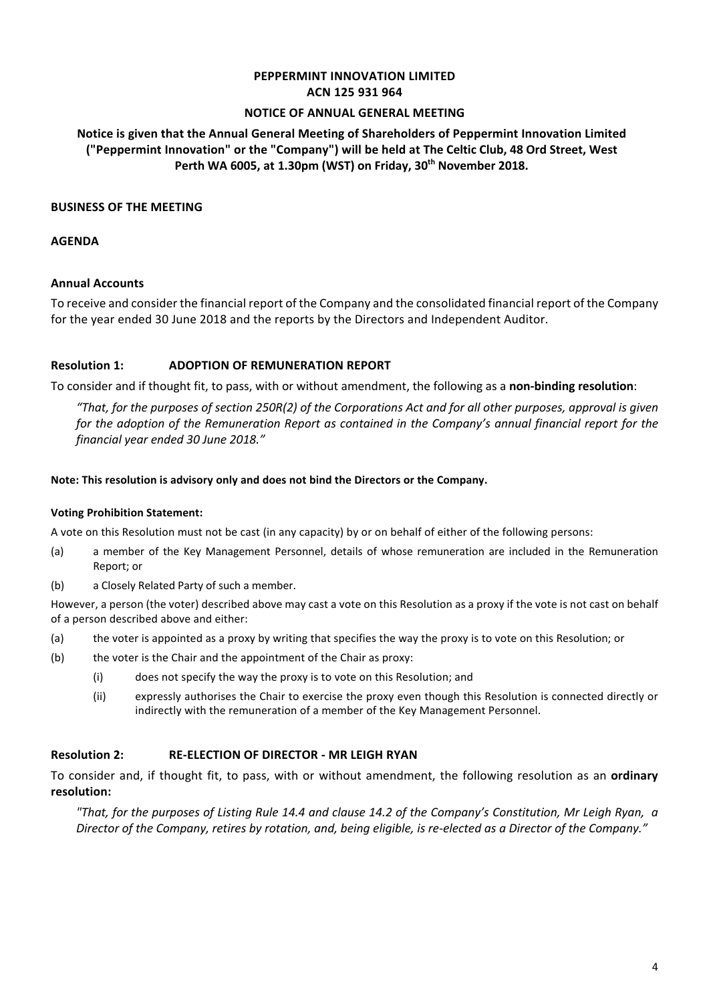## **PEPPERMINT INNOVATION LIMITED ACN 125 931 964**

#### **NOTICE OF ANNUAL GENERAL MEETING**

## **Notice is given that the Annual General Meeting of Shareholders of Peppermint Innovation Limited ("Peppermint Innovation" or the "Company") will be held at The Celtic Club, 48 Ord Street, West Perth WA 6005, at 1.30pm (WST) on Friday, 30th November 2018.**

#### **BUSINESS OF THE MEETING**

#### **AGENDA**

#### **Annual Accounts**

To receive and consider the financial report of the Company and the consolidated financial report of the Company for the year ended 30 June 2018 and the reports by the Directors and Independent Auditor.

#### **Resolution 1: ADOPTION OF REMUNERATION REPORT**

To consider and if thought fit, to pass, with or without amendment, the following as a **non-binding resolution**:

*"That, for the purposes of section 250R(2) of the Corporations Act and for all other purposes, approval is given for the adoption of the Remuneration Report as contained in the Company's annual financial report for the financial year ended 30 June 2018."*

#### **Note: This resolution is advisory only and does not bind the Directors or the Company.**

#### **Voting Prohibition Statement:**

A vote on this Resolution must not be cast (in any capacity) by or on behalf of either of the following persons:

- (a) a member of the Key Management Personnel, details of whose remuneration are included in the Remuneration Report; or
- (b) a Closely Related Party of such a member.

However, a person (the voter) described above may cast a vote on this Resolution as a proxy if the vote is not cast on behalf of a person described above and either:

- (a) the voter is appointed as a proxy by writing that specifies the way the proxy is to vote on this Resolution; or
- (b) the voter is the Chair and the appointment of the Chair as proxy:
	- (i) does not specify the way the proxy is to vote on this Resolution; and
	- (ii) expressly authorises the Chair to exercise the proxy even though this Resolution is connected directly or indirectly with the remuneration of a member of the Key Management Personnel.

#### **Resolution 2: RE-ELECTION OF DIRECTOR - MR LEIGH RYAN**

To consider and, if thought fit, to pass, with or without amendment, the following resolution as an **ordinary resolution:**

*"That, for the purposes of Listing Rule 14.4 and clause 14.2 of the Company's Constitution, Mr Leigh Ryan, a Director of the Company, retires by rotation, and, being eligible, is re-elected as a Director of the Company."*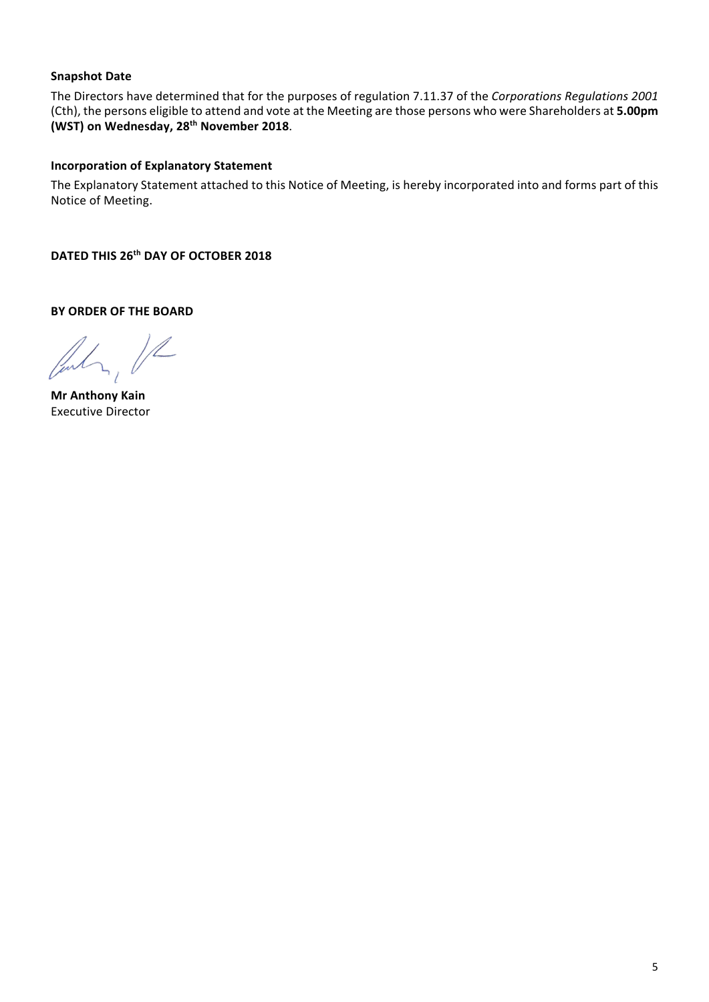## **Snapshot Date**

The Directors have determined that for the purposes of regulation 7.11.37 of the *Corporations Regulations 2001* (Cth), the persons eligible to attend and vote at the Meeting are those persons who were Shareholders at **5.00pm (WST) on Wednesday, 28th November 2018**.

## **Incorporation of Explanatory Statement**

The Explanatory Statement attached to this Notice of Meeting, is hereby incorporated into and forms part of this Notice of Meeting.

**DATED THIS 26th DAY OF OCTOBER 2018**

**BY ORDER OF THE BOARD**

 $\overline{\mathbb{Z}}$ 

**Mr Anthony Kain** Executive Director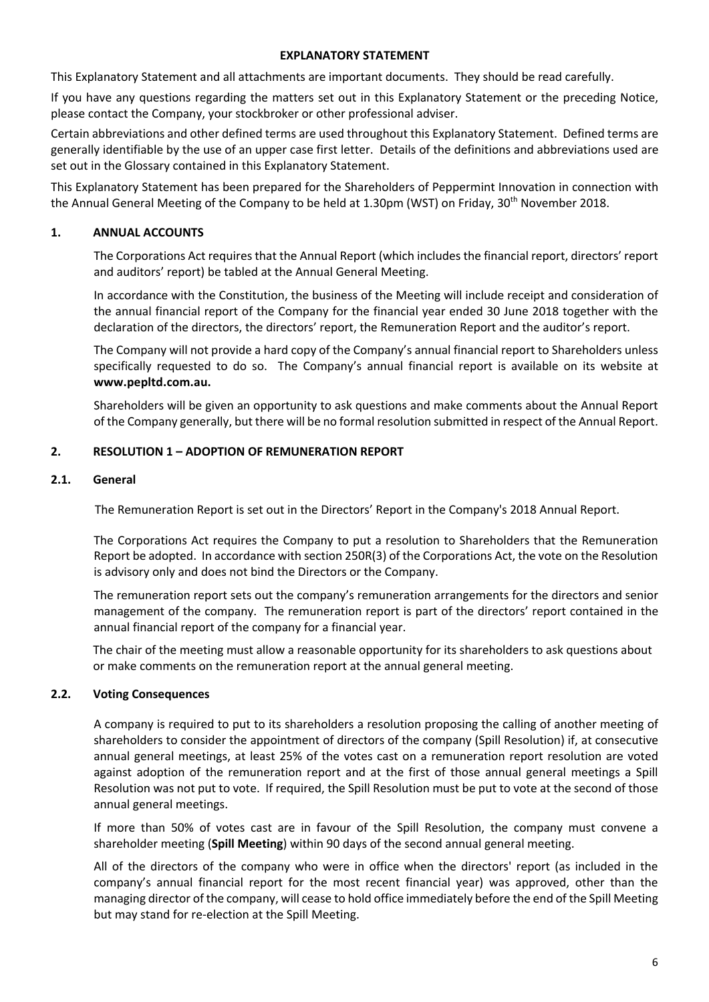#### **EXPLANATORY STATEMENT**

This Explanatory Statement and all attachments are important documents. They should be read carefully.

If you have any questions regarding the matters set out in this Explanatory Statement or the preceding Notice, please contact the Company, your stockbroker or other professional adviser.

Certain abbreviations and other defined terms are used throughout this Explanatory Statement. Defined terms are generally identifiable by the use of an upper case first letter. Details of the definitions and abbreviations used are set out in the Glossary contained in this Explanatory Statement.

This Explanatory Statement has been prepared for the Shareholders of Peppermint Innovation in connection with the Annual General Meeting of the Company to be held at 1.30pm (WST) on Friday, 30<sup>th</sup> November 2018.

#### **1. ANNUAL ACCOUNTS**

The Corporations Act requires that the Annual Report (which includes the financial report, directors' report and auditors' report) be tabled at the Annual General Meeting.

In accordance with the Constitution, the business of the Meeting will include receipt and consideration of the annual financial report of the Company for the financial year ended 30 June 2018 together with the declaration of the directors, the directors' report, the Remuneration Report and the auditor's report.

The Company will not provide a hard copy of the Company's annual financial report to Shareholders unless specifically requested to do so. The Company's annual financial report is available on its website at **www.pepltd.com.au.** 

Shareholders will be given an opportunity to ask questions and make comments about the Annual Report of the Company generally, but there will be no formal resolution submitted in respect of the Annual Report.

### **2. RESOLUTION 1 – ADOPTION OF REMUNERATION REPORT**

#### **2.1. General**

The Remuneration Report is set out in the Directors' Report in the Company's 2018 Annual Report.

The Corporations Act requires the Company to put a resolution to Shareholders that the Remuneration Report be adopted. In accordance with section 250R(3) of the Corporations Act, the vote on the Resolution is advisory only and does not bind the Directors or the Company.

The remuneration report sets out the company's remuneration arrangements for the directors and senior management of the company. The remuneration report is part of the directors' report contained in the annual financial report of the company for a financial year.

The chair of the meeting must allow a reasonable opportunity for its shareholders to ask questions about or make comments on the remuneration report at the annual general meeting.

#### **2.2. Voting Consequences**

A company is required to put to its shareholders a resolution proposing the calling of another meeting of shareholders to consider the appointment of directors of the company (Spill Resolution) if, at consecutive annual general meetings, at least 25% of the votes cast on a remuneration report resolution are voted against adoption of the remuneration report and at the first of those annual general meetings a Spill Resolution was not put to vote. If required, the Spill Resolution must be put to vote at the second of those annual general meetings.

If more than 50% of votes cast are in favour of the Spill Resolution, the company must convene a shareholder meeting (**Spill Meeting**) within 90 days of the second annual general meeting.

All of the directors of the company who were in office when the directors' report (as included in the company's annual financial report for the most recent financial year) was approved, other than the managing director of the company, will cease to hold office immediately before the end of the Spill Meeting but may stand for re-election at the Spill Meeting.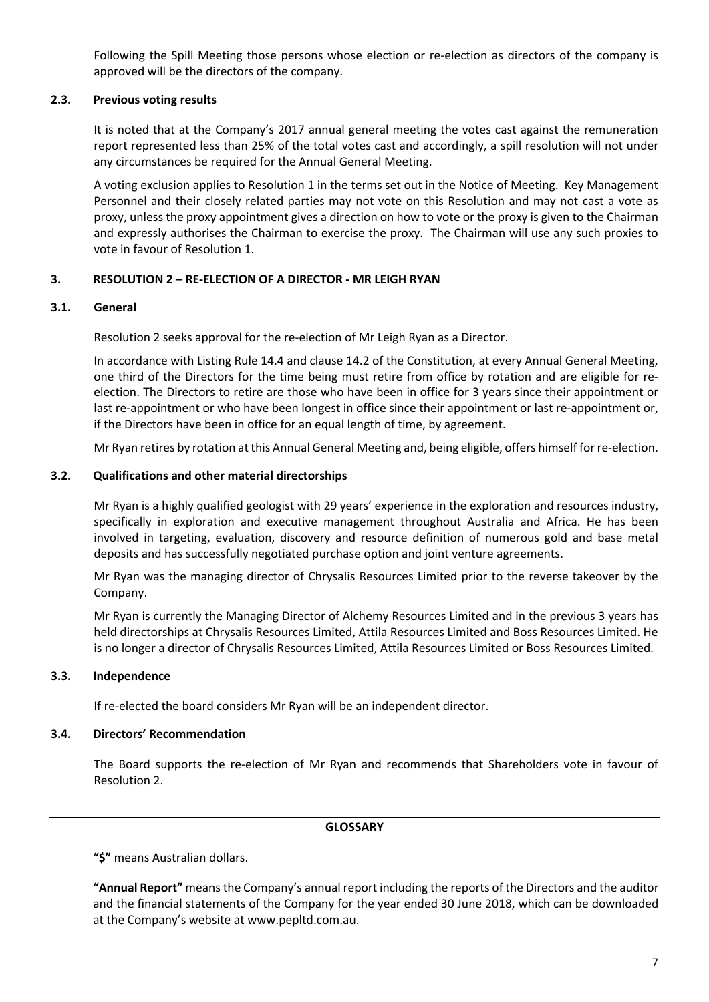Following the Spill Meeting those persons whose election or re-election as directors of the company is approved will be the directors of the company.

### **2.3. Previous voting results**

It is noted that at the Company's 2017 annual general meeting the votes cast against the remuneration report represented less than 25% of the total votes cast and accordingly, a spill resolution will not under any circumstances be required for the Annual General Meeting.

A voting exclusion applies to Resolution 1 in the terms set out in the Notice of Meeting. Key Management Personnel and their closely related parties may not vote on this Resolution and may not cast a vote as proxy, unless the proxy appointment gives a direction on how to vote or the proxy is given to the Chairman and expressly authorises the Chairman to exercise the proxy. The Chairman will use any such proxies to vote in favour of Resolution 1.

## **3. RESOLUTION 2 – RE-ELECTION OF A DIRECTOR - MR LEIGH RYAN**

### **3.1. General**

Resolution 2 seeks approval for the re-election of Mr Leigh Ryan as a Director.

In accordance with Listing Rule 14.4 and clause 14.2 of the Constitution, at every Annual General Meeting, one third of the Directors for the time being must retire from office by rotation and are eligible for reelection. The Directors to retire are those who have been in office for 3 years since their appointment or last re-appointment or who have been longest in office since their appointment or last re-appointment or, if the Directors have been in office for an equal length of time, by agreement.

Mr Ryan retires by rotation at this Annual General Meeting and, being eligible, offers himself for re-election.

### **3.2. Qualifications and other material directorships**

Mr Ryan is a highly qualified geologist with 29 years' experience in the exploration and resources industry, specifically in exploration and executive management throughout Australia and Africa. He has been involved in targeting, evaluation, discovery and resource definition of numerous gold and base metal deposits and has successfully negotiated purchase option and joint venture agreements.

Mr Ryan was the managing director of Chrysalis Resources Limited prior to the reverse takeover by the Company.

Mr Ryan is currently the Managing Director of Alchemy Resources Limited and in the previous 3 years has held directorships at Chrysalis Resources Limited, Attila Resources Limited and Boss Resources Limited. He is no longer a director of Chrysalis Resources Limited, Attila Resources Limited or Boss Resources Limited.

#### **3.3. Independence**

If re-elected the board considers Mr Ryan will be an independent director.

## **3.4. Directors' Recommendation**

The Board supports the re-election of Mr Ryan and recommends that Shareholders vote in favour of Resolution 2.

#### **GLOSSARY**

**"\$"** means Australian dollars.

**"Annual Report"** means the Company's annual report including the reports of the Directors and the auditor and the financial statements of the Company for the year ended 30 June 2018, which can be downloaded at the Company's website at www.pepltd.com.au.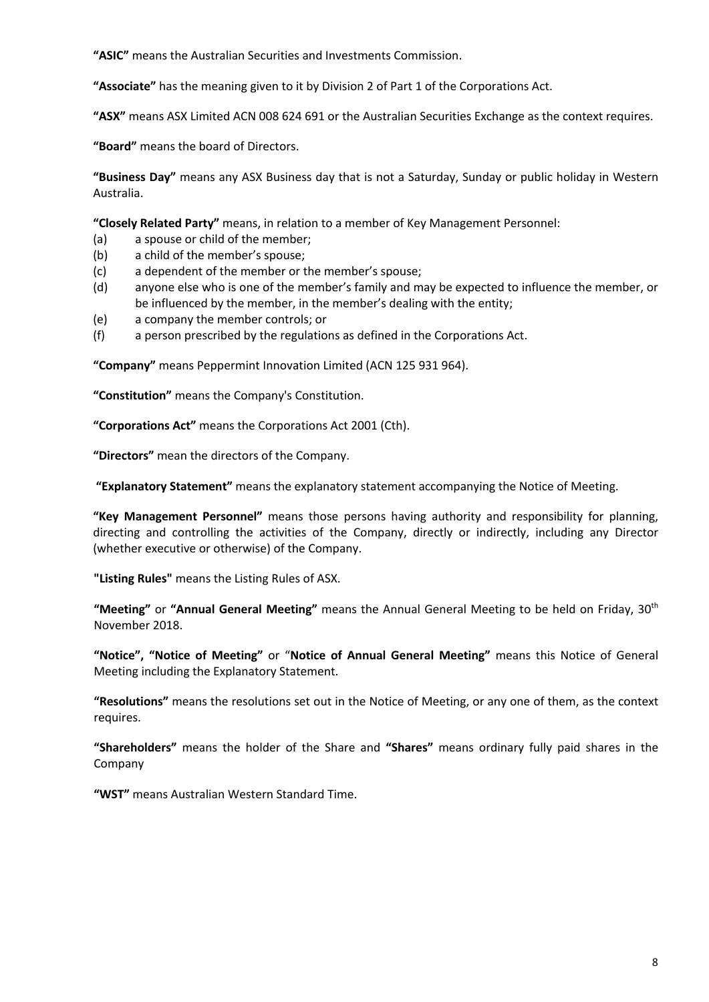**"ASIC"** means the Australian Securities and Investments Commission.

**"Associate"** has the meaning given to it by Division 2 of Part 1 of the Corporations Act.

**"ASX"** means ASX Limited ACN 008 624 691 or the Australian Securities Exchange as the context requires.

**"Board"** means the board of Directors.

**"Business Day"** means any ASX Business day that is not a Saturday, Sunday or public holiday in Western Australia.

**"Closely Related Party"** means, in relation to a member of Key Management Personnel:

- (a) a spouse or child of the member;
- (b) a child of the member's spouse;
- (c) a dependent of the member or the member's spouse;
- (d) anyone else who is one of the member's family and may be expected to influence the member, or be influenced by the member, in the member's dealing with the entity;
- (e) a company the member controls; or
- (f) a person prescribed by the regulations as defined in the Corporations Act.

**"Company"** means Peppermint Innovation Limited (ACN 125 931 964).

**"Constitution"** means the Company's Constitution.

**"Corporations Act"** means the Corporations Act 2001 (Cth).

**"Directors"** mean the directors of the Company.

**"Explanatory Statement"** means the explanatory statement accompanying the Notice of Meeting.

**"Key Management Personnel"** means those persons having authority and responsibility for planning, directing and controlling the activities of the Company, directly or indirectly, including any Director (whether executive or otherwise) of the Company.

**"Listing Rules"** means the Listing Rules of ASX.

**"Meeting"** or **"Annual General Meeting"** means the Annual General Meeting to be held on Friday, 30th November 2018.

**"Notice", "Notice of Meeting"** or "**Notice of Annual General Meeting"** means this Notice of General Meeting including the Explanatory Statement.

**"Resolutions"** means the resolutions set out in the Notice of Meeting, or any one of them, as the context requires.

**"Shareholders"** means the holder of the Share and **"Shares"** means ordinary fully paid shares in the Company

**"WST"** means Australian Western Standard Time.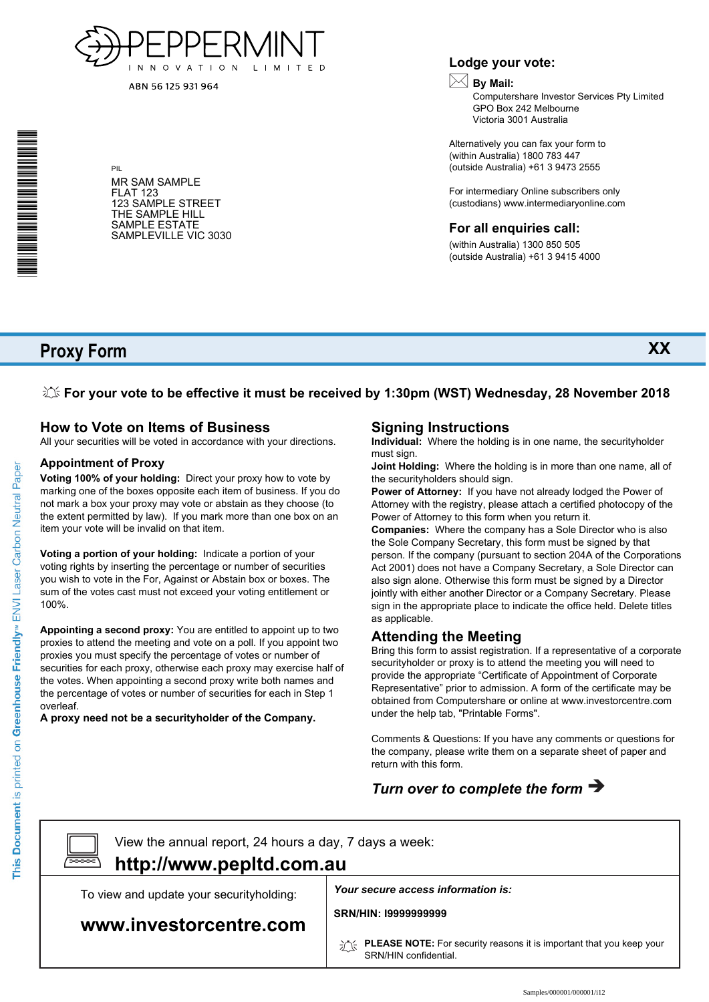

ABN 56 125 931 964

\* S0000112<br>S0000112<br>S0000112

#### MR SAM SAMPLE FLAT 123 123 SAMPLE STREET THE SAMPLE HILL SAMPLE ESTATE SAMPLEVILLE VIC 3030

PIL

### **Lodge your vote:**

# **By Mail:**

Computershare Investor Services Pty Limited GPO Box 242 Melbourne Victoria 3001 Australia

**XX**

Alternatively you can fax your form to (within Australia) 1800 783 447 (outside Australia) +61 3 9473 2555

For intermediary Online subscribers only (custodians) www.intermediaryonline.com

### **For all enquiries call:**

(within Australia) 1300 850 505 (outside Australia) +61 3 9415 4000

# **Proxy Form**

**For your vote to be effective it must be received by 1:30pm (WST) Wednesday, 28 November 2018**

## **How to Vote on Items of Business**

All your securities will be voted in accordance with your directions.

#### **Appointment of Proxy**

**Voting 100% of your holding:** Direct your proxy how to vote by marking one of the boxes opposite each item of business. If you do not mark a box your proxy may vote or abstain as they choose (to the extent permitted by law). If you mark more than one box on an item your vote will be invalid on that item.

**Voting a portion of your holding:** Indicate a portion of your voting rights by inserting the percentage or number of securities you wish to vote in the For, Against or Abstain box or boxes. The sum of the votes cast must not exceed your voting entitlement or 100%.

**Appointing a second proxy:** You are entitled to appoint up to two proxies to attend the meeting and vote on a poll. If you appoint two proxies you must specify the percentage of votes or number of securities for each proxy, otherwise each proxy may exercise half of the votes. When appointing a second proxy write both names and the percentage of votes or number of securities for each in Step 1 overleaf.

**A proxy need not be a securityholder of the Company.**

## **Signing Instructions**

**Individual:** Where the holding is in one name, the securityholder must sign.

**Joint Holding:** Where the holding is in more than one name, all of the securityholders should sign.

**Power of Attorney:** If you have not already lodged the Power of Attorney with the registry, please attach a certified photocopy of the Power of Attorney to this form when you return it.

**Companies:** Where the company has a Sole Director who is also the Sole Company Secretary, this form must be signed by that person. If the company (pursuant to section 204A of the Corporations Act 2001) does not have a Company Secretary, a Sole Director can also sign alone. Otherwise this form must be signed by a Director jointly with either another Director or a Company Secretary. Please sign in the appropriate place to indicate the office held. Delete titles as applicable.

## **Attending the Meeting**

Bring this form to assist registration. If a representative of a corporate securityholder or proxy is to attend the meeting you will need to provide the appropriate "Certificate of Appointment of Corporate Representative" prior to admission. A form of the certificate may be obtained from Computershare or online at www.investorcentre.com under the help tab, "Printable Forms".

Comments & Questions: If you have any comments or questions for the company, please write them on a separate sheet of paper and return with this form.

# *Turn over to complete the form*



View the annual report, 24 hours a day, 7 days a week:

# **http://www.pepltd.com.au**

To view and update your securityholding:

## **www.investorcentre.com**

*Your secure access information is:*

**SRN/HIN: I9999999999**

**PLEASE NOTE:** For security reasons it is important that you keep your SRN/HIN confidential.